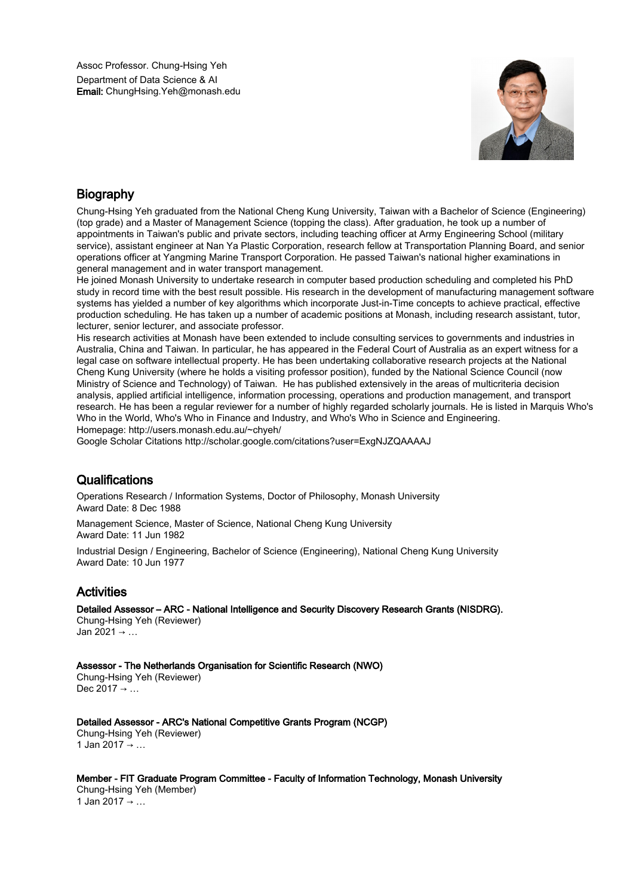

# **Biography**

Chung-Hsing Yeh graduated from the National Cheng Kung University, Taiwan with a Bachelor of Science (Engineering) (top grade) and a Master of Management Science (topping the class). After graduation, he took up a number of appointments in Taiwan's public and private sectors, including teaching officer at Army Engineering School (military service), assistant engineer at Nan Ya Plastic Corporation, research fellow at Transportation Planning Board, and senior operations officer at Yangming Marine Transport Corporation. He passed Taiwan's national higher examinations in general management and in water transport management.

He joined Monash University to undertake research in computer based production scheduling and completed his PhD study in record time with the best result possible. His research in the development of manufacturing management software systems has yielded a number of key algorithms which incorporate Just-in-Time concepts to achieve practical, effective production scheduling. He has taken up a number of academic positions at Monash, including research assistant, tutor, lecturer, senior lecturer, and associate professor.

His research activities at Monash have been extended to include consulting services to governments and industries in Australia, China and Taiwan. In particular, he has appeared in the Federal Court of Australia as an expert witness for a legal case on software intellectual property. He has been undertaking collaborative research projects at the National Cheng Kung University (where he holds a visiting professor position), funded by the National Science Council (now Ministry of Science and Technology) of Taiwan. He has published extensively in the areas of multicriteria decision analysis, applied artificial intelligence, information processing, operations and production management, and transport research. He has been a regular reviewer for a number of highly regarded scholarly journals. He is listed in Marquis Who's Who in the World, Who's Who in Finance and Industry, and Who's Who in Science and Engineering. Homepage: http://users.monash.edu.au/~chyeh/

Google Scholar Citations http://scholar.google.com/citations?user=ExgNJZQAAAAJ

## **Qualifications**

Operations Research / Information Systems, Doctor of Philosophy, Monash University Award Date: 8 Dec 1988

Management Science, Master of Science, National Cheng Kung University Award Date: 11 Jun 1982

Industrial Design / Engineering, Bachelor of Science (Engineering), National Cheng Kung University Award Date: 10 Jun 1977

# Activities

Detailed Assessor – ARC - National Intelligence and Security Discovery Research Grants (NISDRG).

Chung-Hsing Yeh (Reviewer) Jan 2021 → …

Assessor - The Netherlands Organisation for Scientific Research (NWO)

Chung-Hsing Yeh (Reviewer) Dec 2017  $\rightarrow$  ...

Detailed Assessor - ARC's National Competitive Grants Program (NCGP)

Chung-Hsing Yeh (Reviewer) 1 Jan 2017 → ...

Member - FIT Graduate Program Committee - Faculty of Information Technology, Monash University Chung-Hsing Yeh (Member) 1 Jan 2017 → …